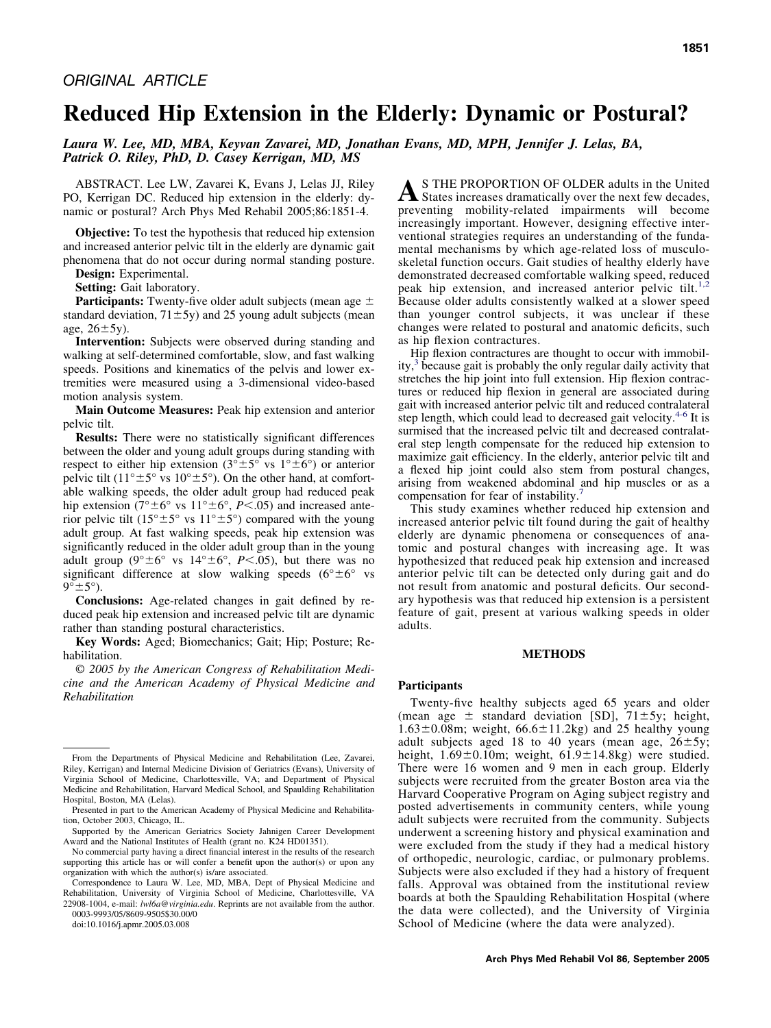# **Reduced Hip Extension in the Elderly: Dynamic or Postural?**

*Laura W. Lee, MD, MBA, Keyvan Zavarei, MD, Jonathan Evans, MD, MPH, Jennifer J. Lelas, BA, Patrick O. Riley, PhD, D. Casey Kerrigan, MD, MS*

ABSTRACT. Lee LW, Zavarei K, Evans J, Lelas JJ, Riley PO, Kerrigan DC. Reduced hip extension in the elderly: dynamic or postural? Arch Phys Med Rehabil 2005;86:1851-4.

**Objective:** To test the hypothesis that reduced hip extension and increased anterior pelvic tilt in the elderly are dynamic gait phenomena that do not occur during normal standing posture.

**Design:** Experimental.

**Setting:** Gait laboratory.

**Participants:** Twenty-five older adult subjects (mean age  $\pm$ standard deviation,  $71\pm 5y$ ) and 25 young adult subjects (mean age,  $26\pm5y$ ).

**Intervention:** Subjects were observed during standing and walking at self-determined comfortable, slow, and fast walking speeds. Positions and kinematics of the pelvis and lower extremities were measured using a 3-dimensional video-based motion analysis system.

**Main Outcome Measures:** Peak hip extension and anterior pelvic tilt.

**Results:** There were no statistically significant differences between the older and young adult groups during standing with respect to either hip extension  $(3^{\circ} \pm 5^{\circ} \text{ vs } 1^{\circ} \pm 6^{\circ})$  or anterior pelvic tilt (11° $\pm$ 5° vs 10° $\pm$ 5°). On the other hand, at comfortable walking speeds, the older adult group had reduced peak hip extension ( $7^{\circ} \pm 6^{\circ}$  vs  $11^{\circ} \pm 6^{\circ}$ ,  $P < .05$ ) and increased anterior pelvic tilt ( $15^{\circ} \pm 5^{\circ}$  vs  $11^{\circ} \pm 5^{\circ}$ ) compared with the young adult group. At fast walking speeds, peak hip extension was significantly reduced in the older adult group than in the young adult group  $(9^\circ \pm 6^\circ \text{ vs } 14^\circ \pm 6^\circ, P<.05)$ , but there was no significant difference at slow walking speeds  $(6^{\circ} \pm 6^{\circ}$  vs  $9^{\circ}$ ±5°).

**Conclusions:** Age-related changes in gait defined by reduced peak hip extension and increased pelvic tilt are dynamic rather than standing postural characteristics.

**Key Words:** Aged; Biomechanics; Gait; Hip; Posture; Rehabilitation.

© *2005 by the American Congress of Rehabilitation Medicine and the American Academy of Physical Medicine and Rehabilitation*

No commercial party having a direct financial interest in the results of the research supporting this article has or will confer a benefit upon the author(s) or upon any organization with which the author(s) is/are associated.

0003-9993/05/8609-9505\$30.00/0 doi:10.1016/j.apmr.2005.03.008

A S THE PROPORTION OF OLDER adults in the United States increases dramatically over the next few decades, preventing mobility-related impairments will become increasingly important. However, designing effective interventional strategies requires an understanding of the fundamental mechanisms by which age-related loss of musculoskeletal function occurs. Gait studies of healthy elderly have demonstrated decreased comfortable walking speed, reduced peak hip extension, and increased anterior pelvic tilt.<sup>[1,2](#page-2-0)</sup> Because older adults consistently walked at a slower speed than younger control subjects, it was unclear if these changes were related to postural and anatomic deficits, such as hip flexion contractures.

Hip flexion contractures are thought to occur with immobility, $3$  because gait is probably the only regular daily activity that stretches the hip joint into full extension. Hip flexion contractures or reduced hip flexion in general are associated during gait with increased anterior pelvic tilt and reduced contralateral step length, which could lead to decreased gait velocity.<sup>4-6</sup> It is surmised that the increased pelvic tilt and decreased contralateral step length compensate for the reduced hip extension to maximize gait efficiency. In the elderly, anterior pelvic tilt and a flexed hip joint could also stem from postural changes, arising from weakened abdominal and hip muscles or as a compensation for fear of instability.

This study examines whether reduced hip extension and increased anterior pelvic tilt found during the gait of healthy elderly are dynamic phenomena or consequences of anatomic and postural changes with increasing age. It was hypothesized that reduced peak hip extension and increased anterior pelvic tilt can be detected only during gait and do not result from anatomic and postural deficits. Our secondary hypothesis was that reduced hip extension is a persistent feature of gait, present at various walking speeds in older adults.

## **METHODS**

# **Participants**

Twenty-five healthy subjects aged 65 years and older (mean age  $\pm$  standard deviation [SD], 71 $\pm$ 5y; height,  $1.63\pm0.08$ m; weight,  $66.6\pm11.2$ kg) and 25 healthy young adult subjects aged 18 to 40 years (mean age,  $26 \pm 5y$ ; height,  $1.69 \pm 0.10$ m; weight,  $61.9 \pm 14.8$ kg) were studied. There were 16 women and 9 men in each group. Elderly subjects were recruited from the greater Boston area via the Harvard Cooperative Program on Aging subject registry and posted advertisements in community centers, while young adult subjects were recruited from the community. Subjects underwent a screening history and physical examination and were excluded from the study if they had a medical history of orthopedic, neurologic, cardiac, or pulmonary problems. Subjects were also excluded if they had a history of frequent falls. Approval was obtained from the institutional review boards at both the Spaulding Rehabilitation Hospital (where the data were collected), and the University of Virginia School of Medicine (where the data were analyzed).

From the Departments of Physical Medicine and Rehabilitation (Lee, Zavarei, Riley, Kerrigan) and Internal Medicine Division of Geriatrics (Evans), University of Virginia School of Medicine, Charlottesville, VA; and Department of Physical Medicine and Rehabilitation, Harvard Medical School, and Spaulding Rehabilitation Hospital, Boston, MA (Lelas).

Presented in part to the American Academy of Physical Medicine and Rehabilitation, October 2003, Chicago, IL.

Supported by the American Geriatrics Society Jahnigen Career Development Award and the National Institutes of Health (grant no. K24 HD01351).

Correspondence to Laura W. Lee, MD, MBA, Dept of Physical Medicine and Rehabilitation, University of Virginia School of Medicine, Charlottesville, VA 22908-1004, e-mail: *lwl6a@virginia.edu*. Reprints are not available from the author.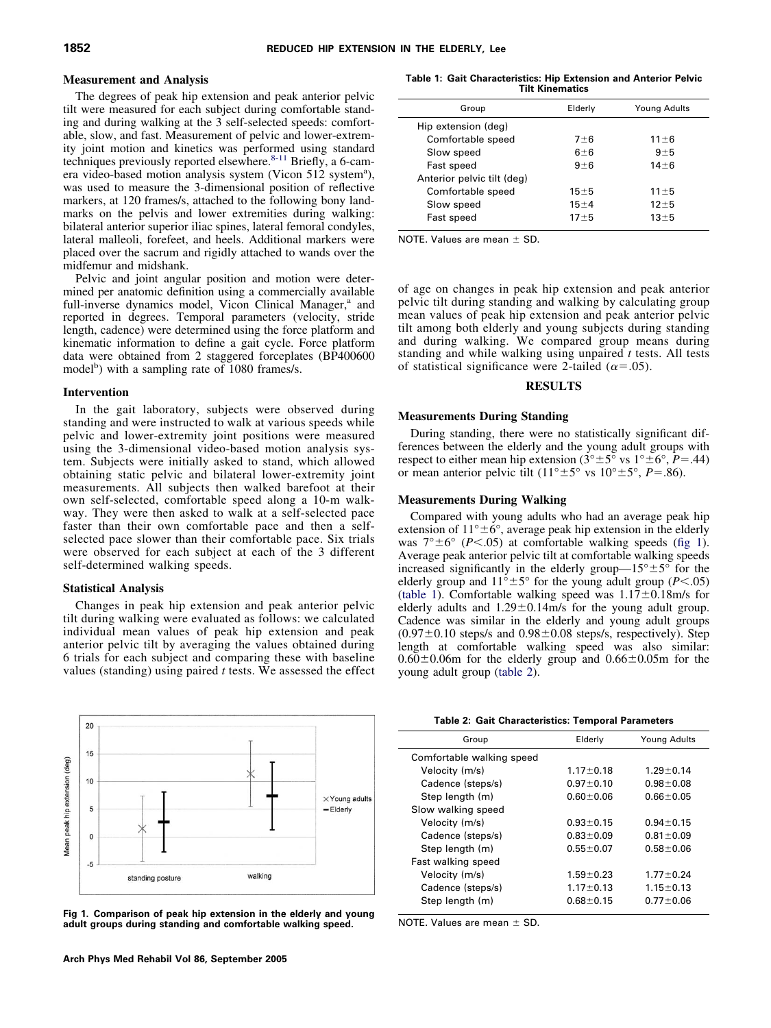# <span id="page-1-0"></span>**Measurement and Analysis**

The degrees of peak hip extension and peak anterior pelvic tilt were measured for each subject during comfortable standing and during walking at the 3 self-selected speeds: comfortable, slow, and fast. Measurement of pelvic and lower-extremity joint motion and kinetics was performed using standard techniques previously reported elsewhere.<sup>8-[11](#page-3-0)</sup> Briefly, a 6-camera video-based motion analysis system (Vicon 512 system<sup>a</sup>), was used to measure the 3-dimensional position of reflective markers, at 120 frames/s, attached to the following bony landmarks on the pelvis and lower extremities during walking: bilateral anterior superior iliac spines, lateral femoral condyles, lateral malleoli, forefeet, and heels. Additional markers were placed over the sacrum and rigidly attached to wands over the midfemur and midshank.

Pelvic and joint angular position and motion were determined per anatomic definition using a commercially available full-inverse dynamics model, Vicon Clinical Manager,<sup>a</sup> and reported in degrees. Temporal parameters (velocity, stride length, cadence) were determined using the force platform and kinematic information to define a gait cycle. Force platform data were obtained from 2 staggered forceplates (BP400600) model<sup>b</sup>) with a sampling rate of 1080 frames/s.

## **Intervention**

In the gait laboratory, subjects were observed during standing and were instructed to walk at various speeds while pelvic and lower-extremity joint positions were measured using the 3-dimensional video-based motion analysis system. Subjects were initially asked to stand, which allowed obtaining static pelvic and bilateral lower-extremity joint measurements. All subjects then walked barefoot at their own self-selected, comfortable speed along a 10-m walkway. They were then asked to walk at a self-selected pace faster than their own comfortable pace and then a selfselected pace slower than their comfortable pace. Six trials were observed for each subject at each of the 3 different self-determined walking speeds.

## **Statistical Analysis**

Changes in peak hip extension and peak anterior pelvic tilt during walking were evaluated as follows: we calculated individual mean values of peak hip extension and peak anterior pelvic tilt by averaging the values obtained during 6 trials for each subject and comparing these with baseline values (standing) using paired *t* tests. We assessed the effect



**Fig 1. Comparison of peak hip extension in the elderly and young adult groups during standing and comfortable walking speed.**

**Table 1: Gait Characteristics: Hip Extension and Anterior Pelvic Tilt Kinematics**

| Group                      | Elderly   | <b>Young Adults</b> |
|----------------------------|-----------|---------------------|
| Hip extension (deg)        |           |                     |
| Comfortable speed          | $7 + 6$   | $11 \pm 6$          |
| Slow speed                 | 6±6       | $9 + 5$             |
| Fast speed                 | $9 \pm 6$ | $14 \pm 6$          |
| Anterior pelvic tilt (deg) |           |                     |
| Comfortable speed          | $15 + 5$  | $11 + 5$            |
| Slow speed                 | $15 + 4$  | $12 + 5$            |
| Fast speed                 | $17 + 5$  | $13 + 5$            |
|                            |           |                     |

NOTE. Values are mean  $\pm$  SD.

of age on changes in peak hip extension and peak anterior pelvic tilt during standing and walking by calculating group mean values of peak hip extension and peak anterior pelvic tilt among both elderly and young subjects during standing and during walking. We compared group means during standing and while walking using unpaired *t* tests. All tests of statistical significance were 2-tailed ( $\alpha$ =.05).

## **RESULTS**

#### **Measurements During Standing**

During standing, there were no statistically significant differences between the elderly and the young adult groups with respect to either mean hip extension ( $3^\circ \pm 5^\circ$  vs  $1^\circ \pm 6^\circ$ ,  $P = .44$ ) or mean anterior pelvic tilt  $(11^{\circ} \pm 5^{\circ} \text{ vs } 10^{\circ} \pm 5^{\circ}, P = .86)$ .

## **Measurements During Walking**

Compared with young adults who had an average peak hip extension of  $11^{\circ} \pm 6^{\circ}$ , average peak hip extension in the elderly was  $7^{\circ} \pm 6^{\circ}$  (*P*<.05) at comfortable walking speeds (fig 1). Average peak anterior pelvic tilt at comfortable walking speeds increased significantly in the elderly group— $15^{\circ} \pm 5^{\circ}$  for the elderly group and  $11^{\circ} \pm 5^{\circ}$  for the young adult group (*P*<.05) (table 1). Comfortable walking speed was  $1.17 \pm 0.18$ m/s for elderly adults and  $1.29 \pm 0.14$ m/s for the young adult group. Cadence was similar in the elderly and young adult groups  $(0.97\pm0.10$  steps/s and  $0.98\pm0.08$  steps/s, respectively). Step length at comfortable walking speed was also similar:  $0.60\pm0.06$ m for the elderly group and  $0.66\pm0.05$ m for the young adult group (table 2).

|  | Table 2: Gait Characteristics: Temporal Parameters |  |  |
|--|----------------------------------------------------|--|--|
|--|----------------------------------------------------|--|--|

| Group                     | Elderly         | <b>Young Adults</b> |
|---------------------------|-----------------|---------------------|
| Comfortable walking speed |                 |                     |
| Velocity (m/s)            | $1.17 \pm 0.18$ | $1.29 \pm 0.14$     |
| Cadence (steps/s)         | $0.97 \pm 0.10$ | $0.98 + 0.08$       |
| Step length (m)           | $0.60 \pm 0.06$ | $0.66 \pm 0.05$     |
| Slow walking speed        |                 |                     |
| Velocity (m/s)            | $0.93 \pm 0.15$ | $0.94 \pm 0.15$     |
| Cadence (steps/s)         | $0.83 \pm 0.09$ | $0.81 \pm 0.09$     |
| Step length (m)           | $0.55 \pm 0.07$ | $0.58 + 0.06$       |
| Fast walking speed        |                 |                     |
| Velocity (m/s)            | $1.59 \pm 0.23$ | $1.77 \pm 0.24$     |
| Cadence (steps/s)         | $1.17 \pm 0.13$ | $1.15 \pm 0.13$     |
| Step length (m)           | $0.68 + 0.15$   | $0.77 + 0.06$       |

NOTE. Values are mean  $\pm$  SD.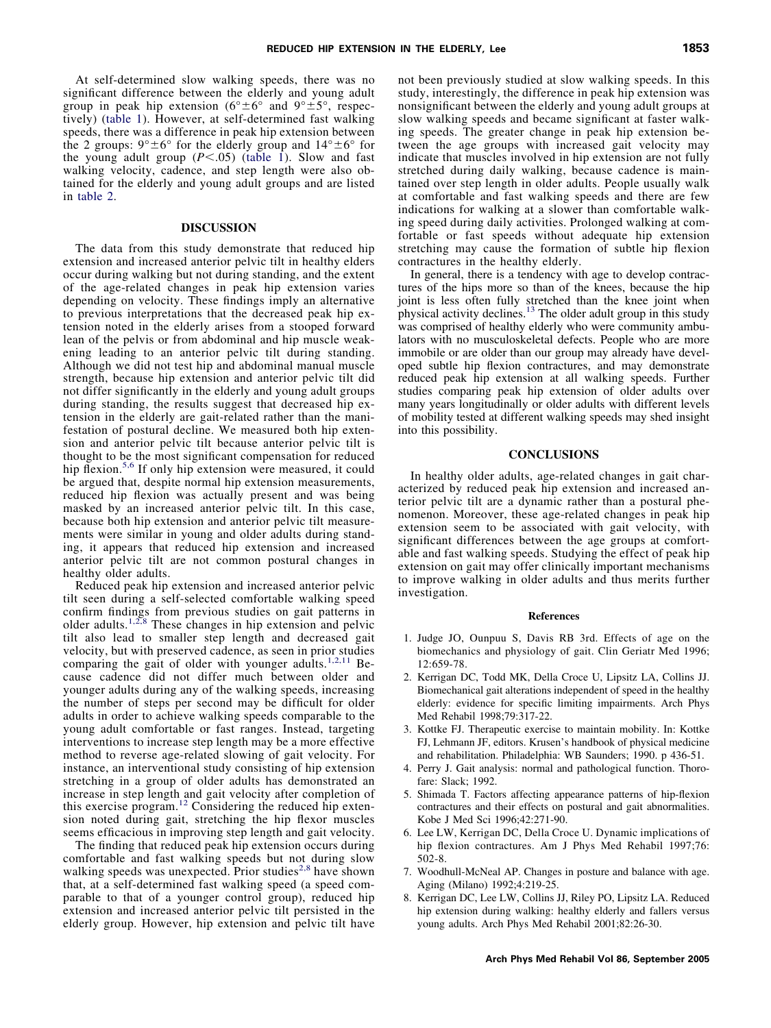<span id="page-2-0"></span>At self-determined slow walking speeds, there was no significant difference between the elderly and young adult group in peak hip extension  $(6^{\circ} \pm 6^{\circ})$  and  $9^{\circ} \pm 5^{\circ}$ , respectively) [\(table 1\)](#page-1-0). However, at self-determined fast walking speeds, there was a difference in peak hip extension between the 2 groups:  $9^{\circ} \pm 6^{\circ}$  for the elderly group and  $14^{\circ} \pm 6^{\circ}$  for the young adult group  $(P<.05)$  [\(table 1\)](#page-1-0). Slow and fast walking velocity, cadence, and step length were also obtained for the elderly and young adult groups and are listed in [table 2.](#page-1-0)

## **DISCUSSION**

The data from this study demonstrate that reduced hip extension and increased anterior pelvic tilt in healthy elders occur during walking but not during standing, and the extent of the age-related changes in peak hip extension varies depending on velocity. These findings imply an alternative to previous interpretations that the decreased peak hip extension noted in the elderly arises from a stooped forward lean of the pelvis or from abdominal and hip muscle weakening leading to an anterior pelvic tilt during standing. Although we did not test hip and abdominal manual muscle strength, because hip extension and anterior pelvic tilt did not differ significantly in the elderly and young adult groups during standing, the results suggest that decreased hip extension in the elderly are gait-related rather than the manifestation of postural decline. We measured both hip extension and anterior pelvic tilt because anterior pelvic tilt is thought to be the most significant compensation for reduced hip flexion.<sup>5,6</sup> If only hip extension were measured, it could be argued that, despite normal hip extension measurements, reduced hip flexion was actually present and was being masked by an increased anterior pelvic tilt. In this case, because both hip extension and anterior pelvic tilt measurements were similar in young and older adults during standing, it appears that reduced hip extension and increased anterior pelvic tilt are not common postural changes in healthy older adults.

Reduced peak hip extension and increased anterior pelvic tilt seen during a self-selected comfortable walking speed confirm findings from previous studies on gait patterns in older adults.<sup>1,2,8</sup> These changes in hip extension and pelvic tilt also lead to smaller step length and decreased gait velocity, but with preserved cadence, as seen in prior studies comparing the gait of older with younger adults.<sup>1,2[,11](#page-3-0)</sup> Because cadence did not differ much between older and younger adults during any of the walking speeds, increasing the number of steps per second may be difficult for older adults in order to achieve walking speeds comparable to the young adult comfortable or fast ranges. Instead, targeting interventions to increase step length may be a more effective method to reverse age-related slowing of gait velocity. For instance, an interventional study consisting of hip extension stretching in a group of older adults has demonstrated an increase in step length and gait velocity after completion of this exercise program.[12](#page-3-0) Considering the reduced hip extension noted during gait, stretching the hip flexor muscles seems efficacious in improving step length and gait velocity.

The finding that reduced peak hip extension occurs during comfortable and fast walking speeds but not during slow walking speeds was unexpected. Prior studies<sup>2,8</sup> have shown that, at a self-determined fast walking speed (a speed comparable to that of a younger control group), reduced hip extension and increased anterior pelvic tilt persisted in the elderly group. However, hip extension and pelvic tilt have not been previously studied at slow walking speeds. In this study, interestingly, the difference in peak hip extension was nonsignificant between the elderly and young adult groups at slow walking speeds and became significant at faster walking speeds. The greater change in peak hip extension between the age groups with increased gait velocity may indicate that muscles involved in hip extension are not fully stretched during daily walking, because cadence is maintained over step length in older adults. People usually walk at comfortable and fast walking speeds and there are few indications for walking at a slower than comfortable walking speed during daily activities. Prolonged walking at comfortable or fast speeds without adequate hip extension stretching may cause the formation of subtle hip flexion contractures in the healthy elderly.

In general, there is a tendency with age to develop contractures of the hips more so than of the knees, because the hip joint is less often fully stretched than the knee joint when physical activity declines[.13](#page-3-0) The older adult group in this study was comprised of healthy elderly who were community ambulators with no musculoskeletal defects. People who are more immobile or are older than our group may already have developed subtle hip flexion contractures, and may demonstrate reduced peak hip extension at all walking speeds. Further studies comparing peak hip extension of older adults over many years longitudinally or older adults with different levels of mobility tested at different walking speeds may shed insight into this possibility.

## **CONCLUSIONS**

In healthy older adults, age-related changes in gait characterized by reduced peak hip extension and increased anterior pelvic tilt are a dynamic rather than a postural phenomenon. Moreover, these age-related changes in peak hip extension seem to be associated with gait velocity, with significant differences between the age groups at comfortable and fast walking speeds. Studying the effect of peak hip extension on gait may offer clinically important mechanisms to improve walking in older adults and thus merits further investigation.

### **References**

- 1. Judge JO, Ounpuu S, Davis RB 3rd. Effects of age on the biomechanics and physiology of gait. Clin Geriatr Med 1996; 12:659-78.
- 2. Kerrigan DC, Todd MK, Della Croce U, Lipsitz LA, Collins JJ. Biomechanical gait alterations independent of speed in the healthy elderly: evidence for specific limiting impairments. Arch Phys Med Rehabil 1998;79:317-22.
- 3. Kottke FJ. Therapeutic exercise to maintain mobility. In: Kottke FJ, Lehmann JF, editors. Krusen's handbook of physical medicine and rehabilitation. Philadelphia: WB Saunders; 1990. p 436-51.
- 4. Perry J. Gait analysis: normal and pathological function. Thorofare: Slack; 1992.
- 5. Shimada T. Factors affecting appearance patterns of hip-flexion contractures and their effects on postural and gait abnormalities. Kobe J Med Sci 1996;42:271-90.
- 6. Lee LW, Kerrigan DC, Della Croce U. Dynamic implications of hip flexion contractures. Am J Phys Med Rehabil 1997;76: 502-8.
- 7. Woodhull-McNeal AP. Changes in posture and balance with age. Aging (Milano) 1992;4:219-25.
- 8. Kerrigan DC, Lee LW, Collins JJ, Riley PO, Lipsitz LA. Reduced hip extension during walking: healthy elderly and fallers versus young adults. Arch Phys Med Rehabil 2001;82:26-30.